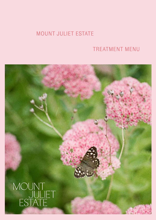# MOUNT JULIET ESTATE

# TREATMENT MENU

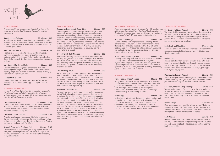

# ELEMIS FACIALS

*These targeted facial treatments gently but firmly take on the challenges of sensitivity, oiliness and dullness for healthier complexions.*

### Superfood Pro-Radiance 55 minutes - €98

A nutritional boost rich in superfoods and essential minerals designed to pack stressed, dull skin with energising detoxifying actives. Clinically proven to leave the skin plumper, radiant and lit up with good health.

### Sensitive Skin Soother 55mins - €98

Fragile skin needs special attention. A soothing massage technique helps reduce the appearance of redness and protects against daily stresses. Texture and moisture levels are dramatically restored. Skin is left supremely soothed, comforted and calm.

# Anti-Blemish Mattify and Calm 55mins - €98

A revelation for oily, congested or hormonal skin. This mattifying facial helps combat oil and shine, while intuitive massage helps restore micro-circulation. A deeply detoxifying treatment for clear, bright skin.

### Express ELEMIS Facial 25mins - €60

This luxurious mini facial cleanses, tones, exfoliates and massages the skin quickly leaving your complexion fully refreshed

# ELEMIS ANTI-AGEING FACIALS

*The hands of a highly trained ELEMIS therapist are profoundly effective anti-aging tools. Using a combination of massage techniques from around the world, this is where intuition meets expertise with clinically proven results.*

# Pro-Collagen Age Defy 55 minutes - €108

Tackles fine lines and wrinkles with clinically proven age-defying benefits of marine charged Padina Pavonica and Red Coral. Targeted massage encourages optimum cellular function for nourished, younger looking skin.

# Pro-Definition and Contour 55mins - €108

Powerful breakthrough technology, this facial helps restore the architecture of the face using the potent nutrients in plant actives found to help support the extra-cellular matrix. Creates a profoundly sculpted youthful effect.

# Dynamic Resurfacing Precision Peel 55mins - €108

Clinically proven to target the signs of ageing and uneven skin tone, this pioneering treatment uses layers of enzymes for powerful exfoliation and renewal. A new start for smoother, younger looking skin.

# GROUND RITUALS

### Restorative Face, Neck & Scalp Ritual 55mins - €98

Combining nurturing facial massage with soothing Gua Sha techniques this slow, flowing massage treatment works to reconnect mind and body. The focus within the treatment is on the face, neck, décolleté and scalp and as such will have a potent effect on tightness & tension, eyestrain, migraines, headaches, TMJ issues, sinuses and puffiness. This is also the perfect treatment for anyone needing respite from the effects of stress and anxiety on their body. A calming but powerful treatment with one sole purpose; to leave you feeling

# Grounding Full Body Massage 55mins - €98

peaceful and re-newed.

A restorative massage treatment to soothe and comfort the full body using slow and rhythmical techniques, this treatment helps to alleviate muscular tension while have a mediative, deeply relaxing effect. The potent essential oils will help set your intention to ground and connect to self while restoring balance in the body.

# The Grounding Ritual  $55 \text{ mins} - \text{\textsterling}98$

Sacred time for you to allow healing in. This treatment will provide you with the space and time to reconnect to source, to tap into your body's ability to self-repair and realign and will leave you feeling replenished and grounded in your body. Focused on the back of the body and specifically centred on the areas that are prone to tightness and tension. Feel your body and soul come together again.

# Abdominal Cleanse Ritual 55mins - €95

The gut is our second brain, much of our wellbeing depends on it. With the intention to move our system into the state of rest and digest, this treatment helps encourage our gut to connect deeply into our body. The aim is to gently stimulate the circulation of lymph, nerve and fresh blood flow to the digestive organs. The fresh circulation helps bring the body's core back to homeostasis and balance. This warming treatment focuses on relaxing and soothing the abdomen physically, while stimulating the area to aid detoxification. Acupressure points on the feet are worked on to prompt digestion and metabolism. Breathwork and mindfulness help tune into this powerhouse within the body to manage anxiety and stress, helping to tune in to our deeper consciousness and intuition.

# THERAPEUTIC MASSAGE

### The Classic Full Body Massage 55mins - €95

The classic full body massage is a swedish style massage that we tailor to your specific preferences or needs. Using rhythmic strokes and kneading techniques, our therapists alleviate general stress and restore overall harmony, while addressing any particular issues you may have.

### Back, Neck And Shoulders 25mins - €58

This is the one we all want after a hard day, a massage that reduces stress-related tension and discomfort in the neck, shoulders and back.

# Golfers Tonic 25mins - €58

This will do better than any tonic available at the 19th hole! It's a deep massage, in which the Therapist focuses on areas that are causing you concern or discomfort. It helps to relax tense muscles and relieve stiffness and fatigue, putting you back in great playing form.

# Mount Juliet Tension Massage 20mins - €54

This is a deep pressure back massage that relieves tension and undoes 'knots'. By talking with your Therapist about the areas you sense stress, they can alleviate localised stresses.

# Shoulders, Face and Scalp Massage 25mins - €58

Tension and stress are often felt most in the head and neck, so it makes sense that massaging those areas helps a great deal. A thorough, soothing massage of the shoulders, face and scalp creates a deep sense of relaxation and promotes better sleep.

# Hand Massage 20mins - €48

Most people never even consider a 'hand massage' but when they realise how good it feels, they come back for more. The Therapist focuses on the over-worked hand and arm muscles, leaving them soothed, refreshed and energised.

# Foot Massage 20mins - €48

Feet and knees take quite a punishing through day-to-day work and play. This massage re-energises knee joints, calf muscles and feet, awakening tired, aching soles and putting a spring back in your stride.

# MATERNITY TREATMENTS

*Please note maternity massage is suitable from 16+ weeks and is subject to medical suitability at the time of treatment. Pregnant Guests who have underlying health condition may be required to provide proof of their GP's approval prior to treatments.*

# Mind And Sole Massage 55mins - €98

Anyone who has been pregnant knows how tiring it is for legs and feet. This super indulgent treatment combines a thorough face and scalp massage, with a deluxe leg and foot massage. It soothes aches, relieves pains, rejuvenating you and putting you in a positive emotional and physical state in advance of your delivery.

# Mums To Be Comforting Ritual 55mins - €98

A deeply comforting treatment for Mum to Be as she cradles her baby within. This treatment centres on a gentle rhythmical massage to hold and relax expecting Mum. It is a grounding treatment to soothe and release tired muscles specifically in the shoulders, back and lower legs as the body grows and glows with each trimester.

# HOLISTIC TREATMENTS

# Indian Head And Foot Massage 55mins - €98

Using ancient Ayurvedic healing techniques, this massage helps to release accumulated stress from the muscles and joints of the shoulders, neck, face and scalp. The Indian head massage is accompanied by a warming mask envelopment to the feet and ends with a foot massage. A wonderful way to rid the body of stress.

# Reflexology 55mins - €85

Reflexology is a treatment that concentrates on points and areas of the feet that correspond with other parts of the body. Skilled manipulation and pressing on circulation, encourages relaxation and promotes overall balance. As well as being wonderfully calming, it helps your entire body by boosting its natural ability to heal itself.